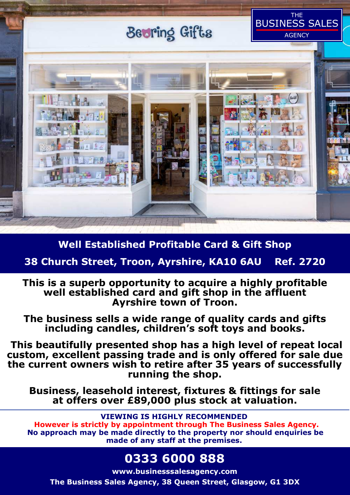# Beoring Gifts

THE BUSINESS SALES

**AGENCY** 



### **Well Established Profitable Card & Gift Shop**

### **38 Church Street, Troon, Ayrshire, KA10 6AU Ref. 2720**

**This is a superb opportunity to acquire a highly profitable well established card and gift shop in the affluent Ayrshire town of Troon.** 

**The business sells a wide range of quality cards and gifts including candles, children's soft toys and books.** 

 **This beautifully presented shop has a high level of repeat local custom, excellent passing trade and is only offered for sale due the current owners wish to retire after 35 years of successfully running the shop.** 

**Business, leasehold interest, fixtures & fittings for sale at offers over £89,000 plus stock at valuation.** 

### **VIEWING IS HIGHLY RECOMMENDED**

 **However is strictly by appointment through The Business Sales Agency. No approach may be made directly to the property nor should enquiries be made of any staff at the premises.** 

## **0333 6000 888**

**www.businesssalesagency.com The Business Sales Agency, 38 Queen Street, Glasgow, G1 3DX**